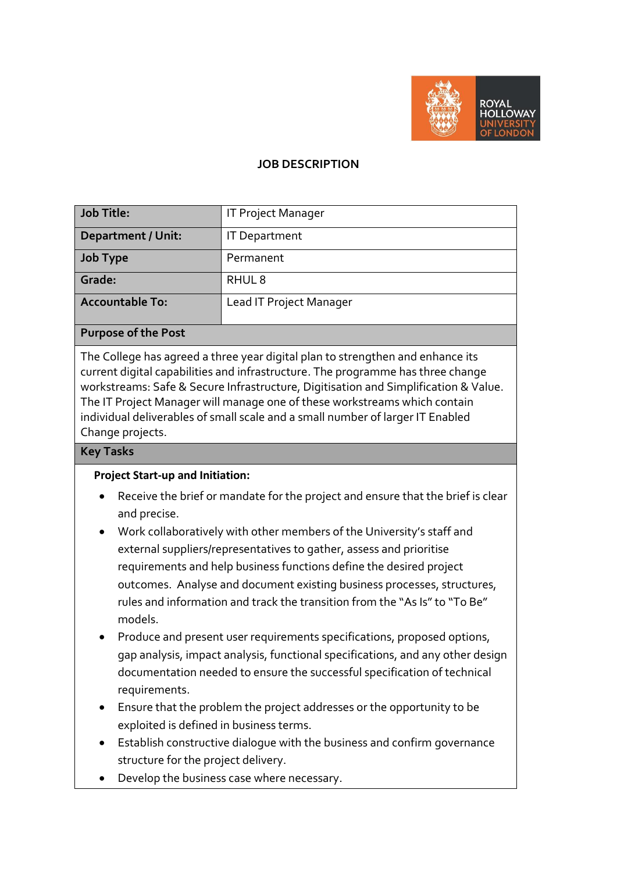

#### **JOB DESCRIPTION**

| <b>Job Title:</b>                                                | <b>IT Project Manager</b> |
|------------------------------------------------------------------|---------------------------|
| <b>Department / Unit:</b>                                        | <b>IT Department</b>      |
| <b>Job Type</b>                                                  | Permanent                 |
| Grade:                                                           | RHUL <sub>8</sub>         |
| <b>Accountable To:</b>                                           | Lead IT Project Manager   |
|                                                                  |                           |
| $\mathbf{r}$ $\mathbf{r}$ $\mathbf{r}$ $\mathbf{r}$ $\mathbf{r}$ |                           |

#### **Purpose of the Post**

The College has agreed a three year digital plan to strengthen and enhance its current digital capabilities and infrastructure. The programme has three change workstreams: Safe & Secure Infrastructure, Digitisation and Simplification & Value. The IT Project Manager will manage one of these workstreams which contain individual deliverables of small scale and a small number of larger IT Enabled Change projects.

#### **Key Tasks**

#### **Project Start-up and Initiation:**

- Receive the brief or mandate for the project and ensure that the brief is clear and precise.
- Work collaboratively with other members of the University's staff and external suppliers/representatives to gather, assess and prioritise requirements and help business functions define the desired project outcomes. Analyse and document existing business processes, structures, rules and information and track the transition from the "As Is" to "To Be" models.
- Produce and present user requirements specifications, proposed options, gap analysis, impact analysis, functional specifications, and any other design documentation needed to ensure the successful specification of technical requirements.
- Ensure that the problem the project addresses or the opportunity to be exploited is defined in business terms.
- Establish constructive dialogue with the business and confirm governance structure for the project delivery.
- Develop the business case where necessary.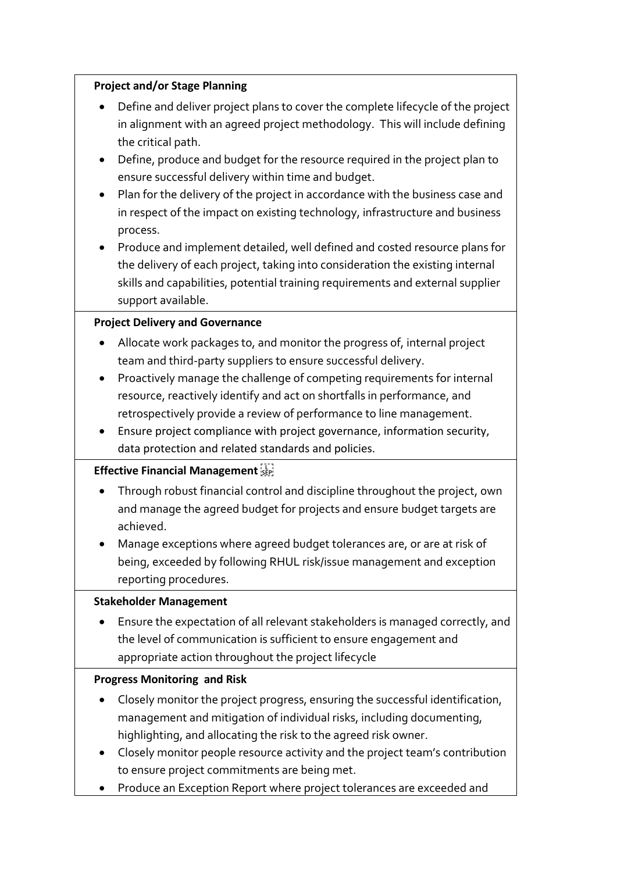#### **Project and/or Stage Planning**

- Define and deliver project plans to cover the complete lifecycle of the project in alignment with an agreed project methodology. This will include defining the critical path.
- Define, produce and budget for the resource required in the project plan to ensure successful delivery within time and budget.
- Plan for the delivery of the project in accordance with the business case and in respect of the impact on existing technology, infrastructure and business process.
- Produce and implement detailed, well defined and costed resource plans for the delivery of each project, taking into consideration the existing internal skills and capabilities, potential training requirements and external supplier support available.

## **Project Delivery and Governance**

- Allocate work packages to, and monitor the progress of, internal project team and third-party suppliers to ensure successful delivery.
- Proactively manage the challenge of competing requirements for internal resource, reactively identify and act on shortfalls in performance, and retrospectively provide a review of performance to line management.
- Ensure project compliance with project governance, information security, data protection and related standards and policies.

## **Effective Financial Management**

- Through robust financial control and discipline throughout the project, own and manage the agreed budget for projects and ensure budget targets are achieved.
- Manage exceptions where agreed budget tolerances are, or are at risk of being, exceeded by following RHUL risk/issue management and exception reporting procedures.

## **Stakeholder Management**

 Ensure the expectation of all relevant stakeholders is managed correctly, and the level of communication is sufficient to ensure engagement and appropriate action throughout the project lifecycle

## **Progress Monitoring and Risk**

- Closely monitor the project progress, ensuring the successful identification, management and mitigation of individual risks, including documenting, highlighting, and allocating the risk to the agreed risk owner.
- Closely monitor people resource activity and the project team's contribution to ensure project commitments are being met.
- Produce an Exception Report where project tolerances are exceeded and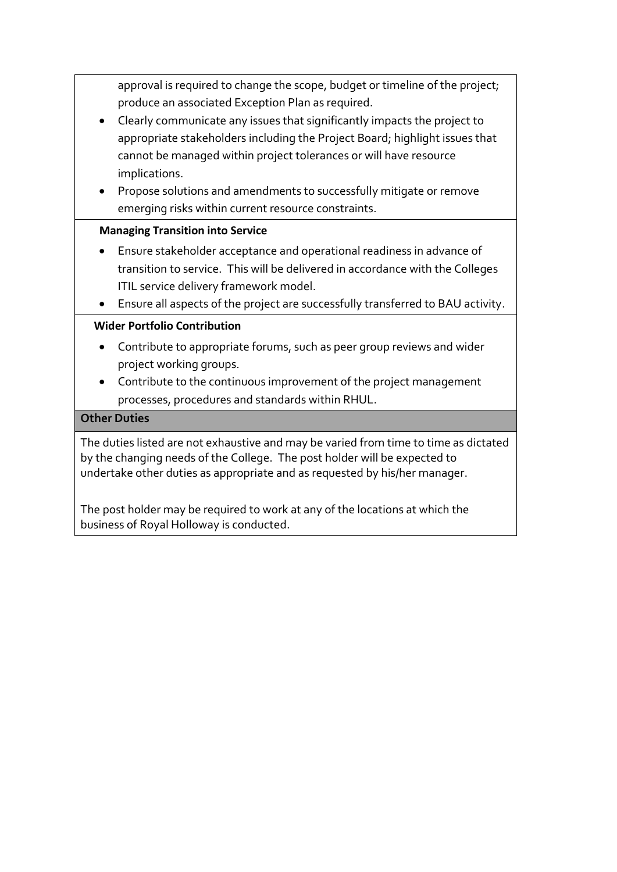approval is required to change the scope, budget or timeline of the project; produce an associated Exception Plan as required.

- Clearly communicate any issues that significantly impacts the project to appropriate stakeholders including the Project Board; highlight issues that cannot be managed within project tolerances or will have resource implications.
- Propose solutions and amendments to successfully mitigate or remove emerging risks within current resource constraints.

## **Managing Transition into Service**

- Ensure stakeholder acceptance and operational readiness in advance of transition to service. This will be delivered in accordance with the Colleges ITIL service delivery framework model.
- Ensure all aspects of the project are successfully transferred to BAU activity.

## **Wider Portfolio Contribution**

- Contribute to appropriate forums, such as peer group reviews and wider project working groups.
- Contribute to the continuous improvement of the project management processes, procedures and standards within RHUL.

## **Other Duties**

The duties listed are not exhaustive and may be varied from time to time as dictated by the changing needs of the College. The post holder will be expected to undertake other duties as appropriate and as requested by his/her manager.

The post holder may be required to work at any of the locations at which the business of Royal Holloway is conducted.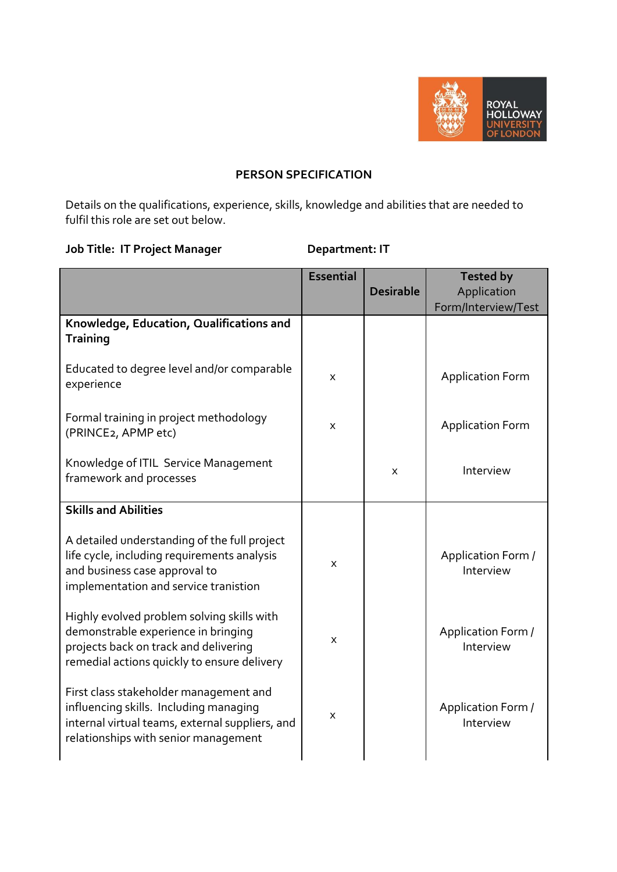

#### **PERSON SPECIFICATION**

Details on the qualifications, experience, skills, knowledge and abilities that are needed to fulfil this role are set out below.

# **Job Title: IT Project Manager**  Department: IT

|                                                                                                                                                                             | <b>Essential</b> | <b>Desirable</b> | <b>Tested by</b><br>Application |
|-----------------------------------------------------------------------------------------------------------------------------------------------------------------------------|------------------|------------------|---------------------------------|
|                                                                                                                                                                             |                  |                  | Form/Interview/Test             |
| Knowledge, Education, Qualifications and<br><b>Training</b>                                                                                                                 |                  |                  |                                 |
| Educated to degree level and/or comparable<br>experience                                                                                                                    | X                |                  | <b>Application Form</b>         |
| Formal training in project methodology<br>(PRINCE2, APMP etc)                                                                                                               | X                |                  | <b>Application Form</b>         |
| Knowledge of ITIL Service Management<br>framework and processes                                                                                                             |                  | X                | Interview                       |
| <b>Skills and Abilities</b>                                                                                                                                                 |                  |                  |                                 |
| A detailed understanding of the full project<br>life cycle, including requirements analysis<br>and business case approval to<br>implementation and service tranistion       | X                |                  | Application Form /<br>Interview |
| Highly evolved problem solving skills with<br>demonstrable experience in bringing<br>projects back on track and delivering<br>remedial actions quickly to ensure delivery   | X                |                  | Application Form /<br>Interview |
| First class stakeholder management and<br>influencing skills. Including managing<br>internal virtual teams, external suppliers, and<br>relationships with senior management | X                |                  | Application Form /<br>Interview |